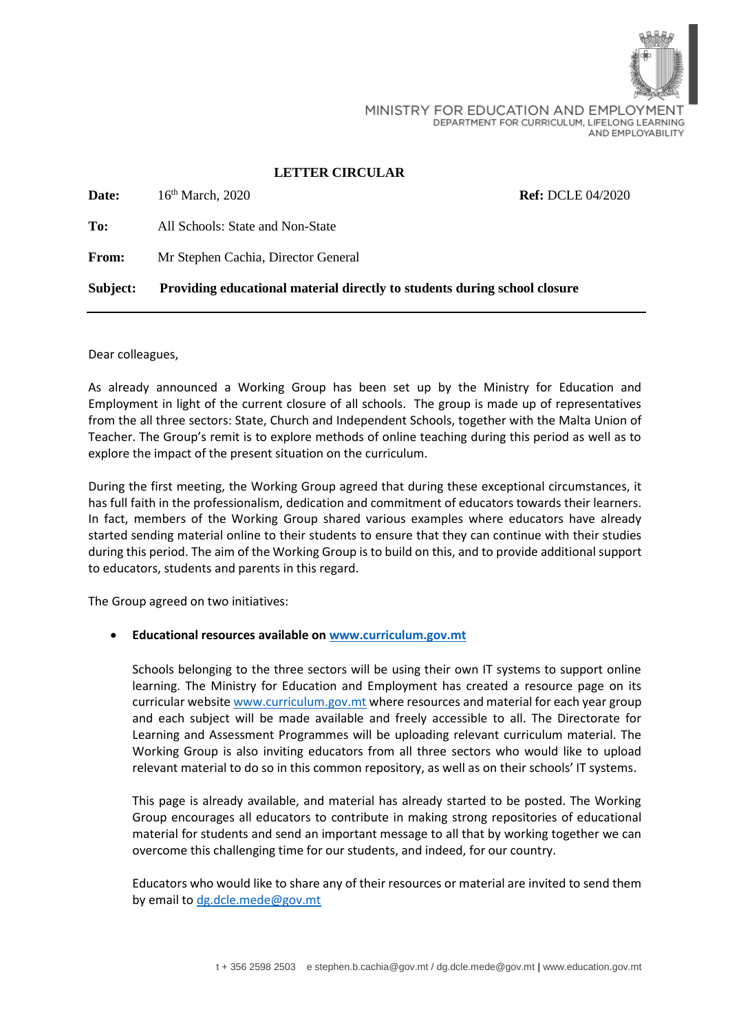

MINISTRY FOR EDUCATION AND EMPLOYMENT DEPARTMENT FOR CURRICULUM, LIFELONG LEARNING AND EMPLOYABILITY

### **LETTER CIRCULAR**

| Subject:     | Providing educational material directly to students during school closure |                          |
|--------------|---------------------------------------------------------------------------|--------------------------|
| <b>From:</b> | Mr Stephen Cachia, Director General                                       |                          |
| To:          | All Schools: State and Non-State                                          |                          |
| <b>Date:</b> | 16 <sup>th</sup> March, 2020                                              | <b>Ref: DCLE 04/2020</b> |

Dear colleagues,

As already announced a Working Group has been set up by the Ministry for Education and Employment in light of the current closure of all schools. The group is made up of representatives from the all three sectors: State, Church and Independent Schools, together with the Malta Union of Teacher. The Group's remit is to explore methods of online teaching during this period as well as to explore the impact of the present situation on the curriculum.

During the first meeting, the Working Group agreed that during these exceptional circumstances, it has full faith in the professionalism, dedication and commitment of educators towards their learners. In fact, members of the Working Group shared various examples where educators have already started sending material online to their students to ensure that they can continue with their studies during this period. The aim of the Working Group is to build on this, and to provide additional support to educators, students and parents in this regard.

The Group agreed on two initiatives:

## • **Educational resources available o[n www.curriculum.gov.mt](http://www.curriculum.gov.mt/)**

Schools belonging to the three sectors will be using their own IT systems to support online learning. The Ministry for Education and Employment has created a resource page on its curricular websit[e www.curriculum.gov.mt](http://www.curriculum.gov.mt/) where resources and material for each year group and each subject will be made available and freely accessible to all. The Directorate for Learning and Assessment Programmes will be uploading relevant curriculum material. The Working Group is also inviting educators from all three sectors who would like to upload relevant material to do so in this common repository, as well as on their schools' IT systems.

This page is already available, and material has already started to be posted. The Working Group encourages all educators to contribute in making strong repositories of educational material for students and send an important message to all that by working together we can overcome this challenging time for our students, and indeed, for our country.

Educators who would like to share any of their resources or material are invited to send them by email to [dg.dcle.mede@gov.mt](mailto:dg.dcle.mede@gov.mt)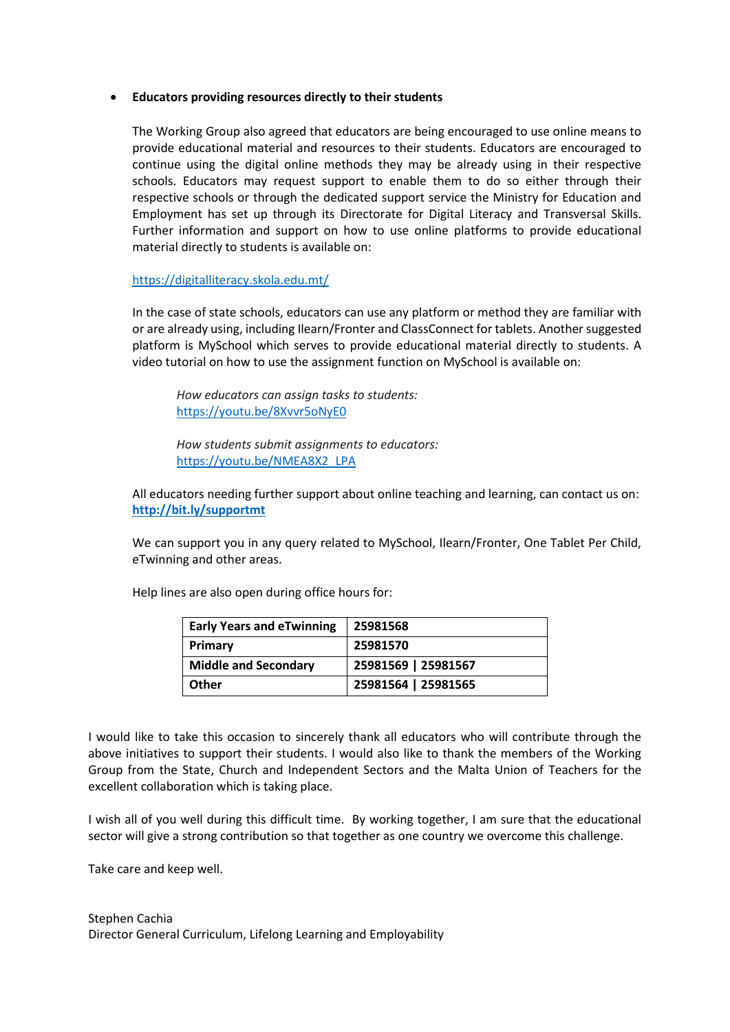### • **Educators providing resources directly to their students**

The Working Group also agreed that educators are being encouraged to use online means to provide educational material and resources to their students. Educators are encouraged to continue using the digital online methods they may be already using in their respective schools. Educators may request support to enable them to do so either through their respective schools or through the dedicated support service the Ministry for Education and Employment has set up through its Directorate for Digital Literacy and Transversal Skills. Further information and support on how to use online platforms to provide educational material directly to students is available on:

## <https://digitalliteracy.skola.edu.mt/>

In the case of state schools, educators can use any platform or method they are familiar with or are already using, including Ilearn/Fronter and ClassConnect for tablets. Another suggested platform is MySchool which serves to provide educational material directly to students. A video tutorial on how to use the assignment function on MySchool is available on:

*How educators can assign tasks to students:* <https://youtu.be/8Xvvr5oNyE0>

*How students submit assignments to educators:* [https://youtu.be/NMEA8X2\\_LPA](https://youtu.be/NMEA8X2_LPA)

All educators needing further support about online teaching and learning, can contact us on: **<http://bit.ly/supportmt>**

We can support you in any query related to MySchool, Ilearn/Fronter, One Tablet Per Child, eTwinning and other areas.

Help lines are also open during office hours for:

| <b>Early Years and eTwinning</b> | 25981568            |
|----------------------------------|---------------------|
| Primary                          | 25981570            |
| <b>Middle and Secondary</b>      | 25981569   25981567 |
| <b>Other</b>                     | 25981564   25981565 |

I would like to take this occasion to sincerely thank all educators who will contribute through the above initiatives to support their students. I would also like to thank the members of the Working Group from the State, Church and Independent Sectors and the Malta Union of Teachers for the excellent collaboration which is taking place.

I wish all of you well during this difficult time. By working together, I am sure that the educational sector will give a strong contribution so that together as one country we overcome this challenge.

Take care and keep well.

Stephen Cachia Director General Curriculum, Lifelong Learning and Employability